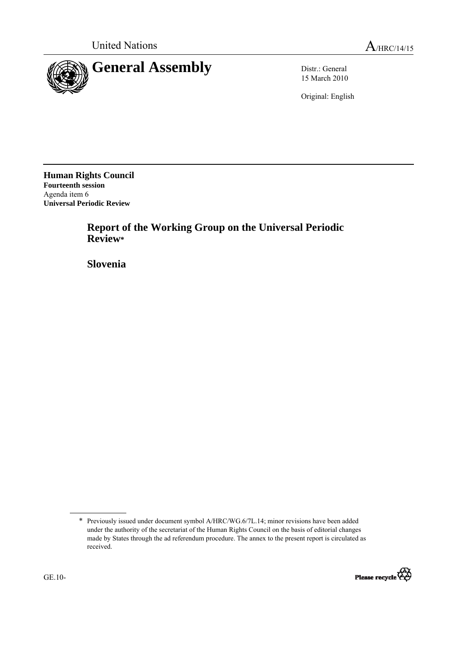

15 March 2010

Original: English

**Human Rights Council Fourteenth session**  Agenda item 6 **Universal Periodic Review** 

> **Report of the Working Group on the Universal Periodic Review\***

 **Slovenia** 

<sup>\*</sup> Previously issued under document symbol A/HRC/WG.6/7L.14; minor revisions have been added under the authority of the secretariat of the Human Rights Council on the basis of editorial changes made by States through the ad referendum procedure. The annex to the present report is circulated as received.

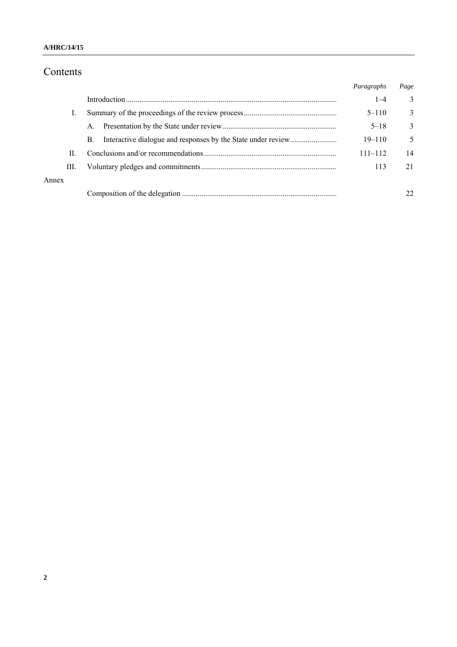# Contents

|       |    |             | Paragraphs  | Page |
|-------|----|-------------|-------------|------|
|       |    |             | $1 - 4$     | 3    |
|       |    |             | $5 - 110$   | 3    |
|       |    | $A_{\cdot}$ | $5 - 18$    | 3    |
|       |    | B.          | $19 - 110$  | 5    |
|       | H. |             | $111 - 112$ | 14   |
|       | Ш. |             | 113         | 21   |
| Annex |    |             |             |      |
|       |    |             |             | 22   |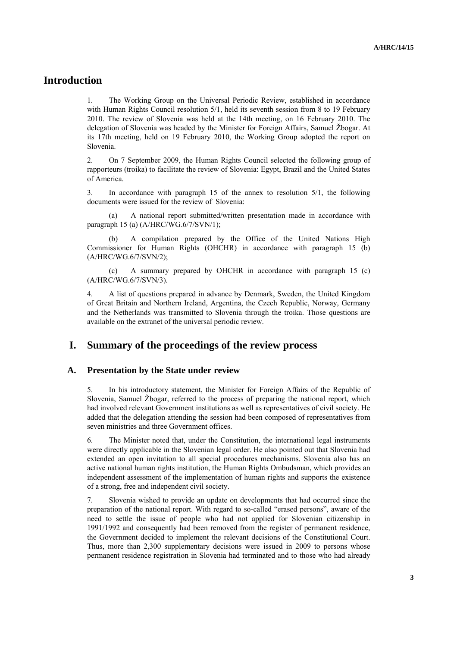## **Introduction**

1. The Working Group on the Universal Periodic Review, established in accordance with Human Rights Council resolution 5/1, held its seventh session from 8 to 19 February 2010. The review of Slovenia was held at the 14th meeting, on 16 February 2010. The delegation of Slovenia was headed by the Minister for Foreign Affairs, Samuel Žbogar. At its 17th meeting, held on 19 February 2010, the Working Group adopted the report on Slovenia.

2. On 7 September 2009, the Human Rights Council selected the following group of rapporteurs (troika) to facilitate the review of Slovenia: Egypt, Brazil and the United States of America.

3. In accordance with paragraph 15 of the annex to resolution 5/1, the following documents were issued for the review of Slovenia:

(a) A national report submitted/written presentation made in accordance with paragraph 15 (a) (A/HRC/WG.6/7/SVN/1);

A compilation prepared by the Office of the United Nations High Commissioner for Human Rights (OHCHR) in accordance with paragraph 15 (b) (A/HRC/WG.6/7/SVN/2);

(c) A summary prepared by OHCHR in accordance with paragraph 15 (c) (A/HRC/WG.6/7/SVN/3).

4. A list of questions prepared in advance by Denmark, Sweden, the United Kingdom of Great Britain and Northern Ireland, Argentina, the Czech Republic, Norway, Germany and the Netherlands was transmitted to Slovenia through the troika. Those questions are available on the extranet of the universal periodic review.

#### **I. Summary of the proceedings of the review process**

#### **A. Presentation by the State under review**

5. In his introductory statement, the Minister for Foreign Affairs of the Republic of Slovenia, Samuel Žbogar, referred to the process of preparing the national report, which had involved relevant Government institutions as well as representatives of civil society. He added that the delegation attending the session had been composed of representatives from seven ministries and three Government offices.

6. The Minister noted that, under the Constitution, the international legal instruments were directly applicable in the Slovenian legal order. He also pointed out that Slovenia had extended an open invitation to all special procedures mechanisms. Slovenia also has an active national human rights institution, the Human Rights Ombudsman, which provides an independent assessment of the implementation of human rights and supports the existence of a strong, free and independent civil society.

7. Slovenia wished to provide an update on developments that had occurred since the preparation of the national report. With regard to so-called "erased persons", aware of the need to settle the issue of people who had not applied for Slovenian citizenship in 1991/1992 and consequently had been removed from the register of permanent residence, the Government decided to implement the relevant decisions of the Constitutional Court. Thus, more than 2,300 supplementary decisions were issued in 2009 to persons whose permanent residence registration in Slovenia had terminated and to those who had already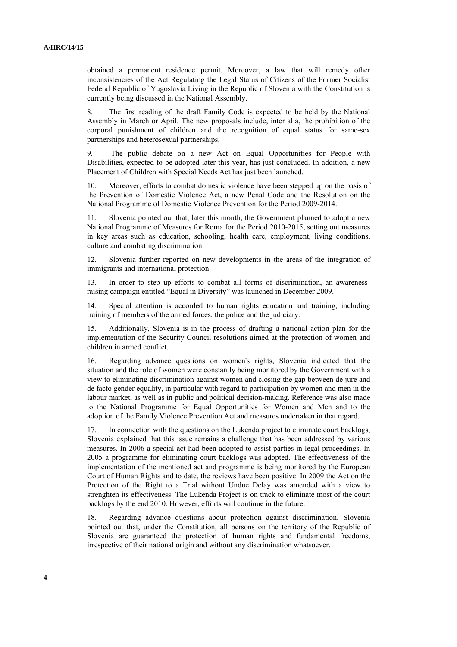obtained a permanent residence permit. Moreover, a law that will remedy other inconsistencies of the Act Regulating the Legal Status of Citizens of the Former Socialist Federal Republic of Yugoslavia Living in the Republic of Slovenia with the Constitution is currently being discussed in the National Assembly.

8. The first reading of the draft Family Code is expected to be held by the National Assembly in March or April. The new proposals include, inter alia, the prohibition of the corporal punishment of children and the recognition of equal status for same-sex partnerships and heterosexual partnerships.

9. The public debate on a new Act on Equal Opportunities for People with Disabilities, expected to be adopted later this year, has just concluded. In addition, a new Placement of Children with Special Needs Act has just been launched.

Moreover, efforts to combat domestic violence have been stepped up on the basis of the Prevention of Domestic Violence Act, a new Penal Code and the Resolution on the National Programme of Domestic Violence Prevention for the Period 2009-2014.

11. Slovenia pointed out that, later this month, the Government planned to adopt a new National Programme of Measures for Roma for the Period 2010-2015, setting out measures in key areas such as education, schooling, health care, employment, living conditions, culture and combating discrimination.

12. Slovenia further reported on new developments in the areas of the integration of immigrants and international protection.

13. In order to step up efforts to combat all forms of discrimination, an awarenessraising campaign entitled "Equal in Diversity" was launched in December 2009.

14. Special attention is accorded to human rights education and training, including training of members of the armed forces, the police and the judiciary.

15. Additionally, Slovenia is in the process of drafting a national action plan for the implementation of the Security Council resolutions aimed at the protection of women and children in armed conflict.

16. Regarding advance questions on women's rights, Slovenia indicated that the situation and the role of women were constantly being monitored by the Government with a view to eliminating discrimination against women and closing the gap between de jure and de facto gender equality, in particular with regard to participation by women and men in the labour market, as well as in public and political decision-making. Reference was also made to the National Programme for Equal Opportunities for Women and Men and to the adoption of the Family Violence Prevention Act and measures undertaken in that regard.

17. In connection with the questions on the Lukenda project to eliminate court backlogs, Slovenia explained that this issue remains a challenge that has been addressed by various measures. In 2006 a special act had been adopted to assist parties in legal proceedings. In 2005 a programme for eliminating court backlogs was adopted. The effectiveness of the implementation of the mentioned act and programme is being monitored by the European Court of Human Rights and to date, the reviews have been positive. In 2009 the Act on the Protection of the Right to a Trial without Undue Delay was amended with a view to strenghten its effectiveness. The Lukenda Project is on track to eliminate most of the court backlogs by the end 2010. However, efforts will continue in the future.

18. Regarding advance questions about protection against discrimination, Slovenia pointed out that, under the Constitution, all persons on the territory of the Republic of Slovenia are guaranteed the protection of human rights and fundamental freedoms, irrespective of their national origin and without any discrimination whatsoever.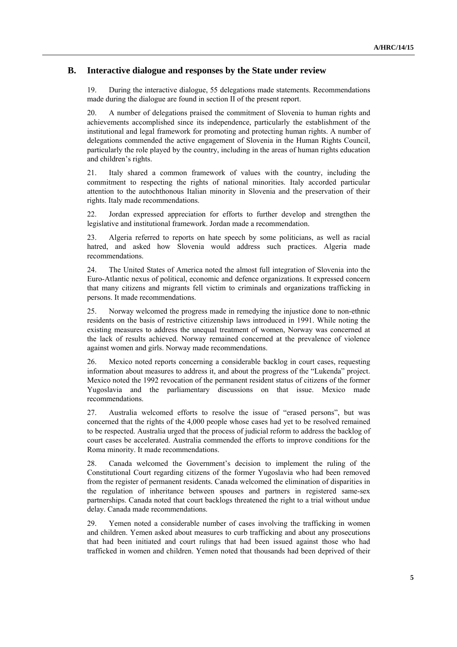#### **B. Interactive dialogue and responses by the State under review**

19. During the interactive dialogue, 55 delegations made statements. Recommendations made during the dialogue are found in section II of the present report.

20. A number of delegations praised the commitment of Slovenia to human rights and achievements accomplished since its independence, particularly the establishment of the institutional and legal framework for promoting and protecting human rights. A number of delegations commended the active engagement of Slovenia in the Human Rights Council, particularly the role played by the country, including in the areas of human rights education and children's rights.

21. Italy shared a common framework of values with the country, including the commitment to respecting the rights of national minorities. Italy accorded particular attention to the autochthonous Italian minority in Slovenia and the preservation of their rights. Italy made recommendations.

22. Jordan expressed appreciation for efforts to further develop and strengthen the legislative and institutional framework. Jordan made a recommendation.

23. Algeria referred to reports on hate speech by some politicians, as well as racial hatred, and asked how Slovenia would address such practices. Algeria made recommendations.

24. The United States of America noted the almost full integration of Slovenia into the Euro-Atlantic nexus of political, economic and defence organizations. It expressed concern that many citizens and migrants fell victim to criminals and organizations trafficking in persons. It made recommendations.

25. Norway welcomed the progress made in remedying the injustice done to non-ethnic residents on the basis of restrictive citizenship laws introduced in 1991. While noting the existing measures to address the unequal treatment of women, Norway was concerned at the lack of results achieved. Norway remained concerned at the prevalence of violence against women and girls. Norway made recommendations.

26. Mexico noted reports concerning a considerable backlog in court cases, requesting information about measures to address it, and about the progress of the "Lukenda" project. Mexico noted the 1992 revocation of the permanent resident status of citizens of the former Yugoslavia and the parliamentary discussions on that issue. Mexico made recommendations.

27. Australia welcomed efforts to resolve the issue of "erased persons", but was concerned that the rights of the 4,000 people whose cases had yet to be resolved remained to be respected. Australia urged that the process of judicial reform to address the backlog of court cases be accelerated. Australia commended the efforts to improve conditions for the Roma minority. It made recommendations.

28. Canada welcomed the Government's decision to implement the ruling of the Constitutional Court regarding citizens of the former Yugoslavia who had been removed from the register of permanent residents. Canada welcomed the elimination of disparities in the regulation of inheritance between spouses and partners in registered same-sex partnerships. Canada noted that court backlogs threatened the right to a trial without undue delay. Canada made recommendations.

29. Yemen noted a considerable number of cases involving the trafficking in women and children. Yemen asked about measures to curb trafficking and about any prosecutions that had been initiated and court rulings that had been issued against those who had trafficked in women and children. Yemen noted that thousands had been deprived of their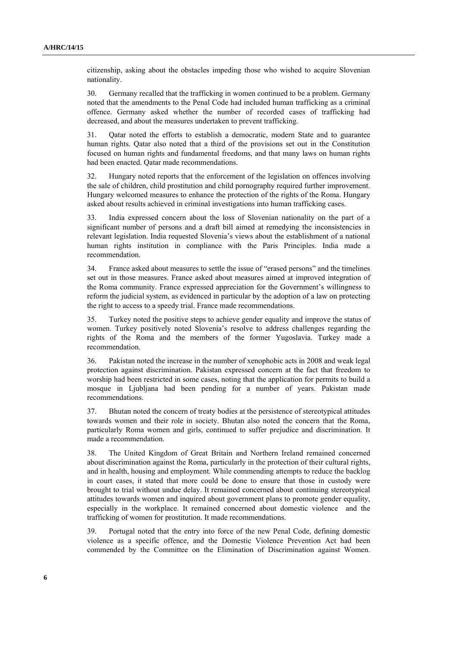citizenship, asking about the obstacles impeding those who wished to acquire Slovenian nationality.

30. Germany recalled that the trafficking in women continued to be a problem. Germany noted that the amendments to the Penal Code had included human trafficking as a criminal offence. Germany asked whether the number of recorded cases of trafficking had decreased, and about the measures undertaken to prevent trafficking.

31. Qatar noted the efforts to establish a democratic, modern State and to guarantee human rights. Qatar also noted that a third of the provisions set out in the Constitution focused on human rights and fundamental freedoms, and that many laws on human rights had been enacted. Qatar made recommendations.

32. Hungary noted reports that the enforcement of the legislation on offences involving the sale of children, child prostitution and child pornography required further improvement. Hungary welcomed measures to enhance the protection of the rights of the Roma. Hungary asked about results achieved in criminal investigations into human trafficking cases.

33. India expressed concern about the loss of Slovenian nationality on the part of a significant number of persons and a draft bill aimed at remedying the inconsistencies in relevant legislation. India requested Slovenia's views about the establishment of a national human rights institution in compliance with the Paris Principles. India made a recommendation.

34. France asked about measures to settle the issue of "erased persons" and the timelines set out in those measures. France asked about measures aimed at improved integration of the Roma community. France expressed appreciation for the Government's willingness to reform the judicial system, as evidenced in particular by the adoption of a law on protecting the right to access to a speedy trial. France made recommendations.

35. Turkey noted the positive steps to achieve gender equality and improve the status of women. Turkey positively noted Slovenia's resolve to address challenges regarding the rights of the Roma and the members of the former Yugoslavia. Turkey made a recommendation.

36. Pakistan noted the increase in the number of xenophobic acts in 2008 and weak legal protection against discrimination. Pakistan expressed concern at the fact that freedom to worship had been restricted in some cases, noting that the application for permits to build a mosque in Ljubljana had been pending for a number of years. Pakistan made recommendations.

37. Bhutan noted the concern of treaty bodies at the persistence of stereotypical attitudes towards women and their role in society. Bhutan also noted the concern that the Roma, particularly Roma women and girls, continued to suffer prejudice and discrimination. It made a recommendation.

38. The United Kingdom of Great Britain and Northern Ireland remained concerned about discrimination against the Roma, particularly in the protection of their cultural rights, and in health, housing and employment. While commending attempts to reduce the backlog in court cases, it stated that more could be done to ensure that those in custody were brought to trial without undue delay. It remained concerned about continuing stereotypical attitudes towards women and inquired about government plans to promote gender equality, especially in the workplace. It remained concerned about domestic violence and the trafficking of women for prostitution. It made recommendations.

39. Portugal noted that the entry into force of the new Penal Code, defining domestic violence as a specific offence, and the Domestic Violence Prevention Act had been commended by the Committee on the Elimination of Discrimination against Women.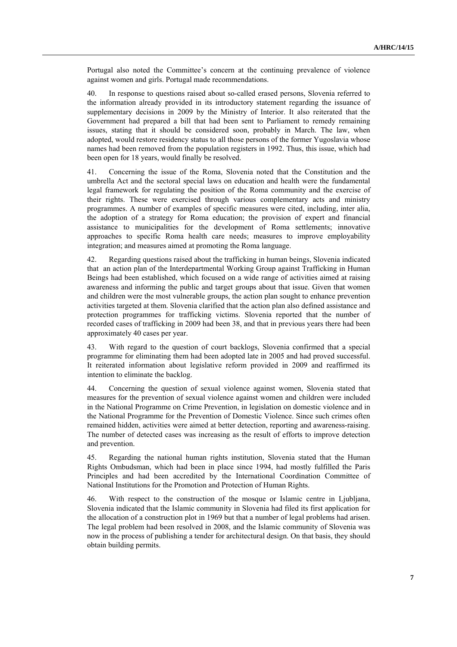Portugal also noted the Committee's concern at the continuing prevalence of violence against women and girls. Portugal made recommendations.

40. In response to questions raised about so-called erased persons, Slovenia referred to the information already provided in its introductory statement regarding the issuance of supplementary decisions in 2009 by the Ministry of Interior. It also reiterated that the Government had prepared a bill that had been sent to Parliament to remedy remaining issues, stating that it should be considered soon, probably in March. The law, when adopted, would restore residency status to all those persons of the former Yugoslavia whose names had been removed from the population registers in 1992. Thus, this issue, which had been open for 18 years, would finally be resolved.

41. Concerning the issue of the Roma, Slovenia noted that the Constitution and the umbrella Act and the sectoral special laws on education and health were the fundamental legal framework for regulating the position of the Roma community and the exercise of their rights. These were exercised through various complementary acts and ministry programmes. A number of examples of specific measures were cited, including, inter alia, the adoption of a strategy for Roma education; the provision of expert and financial assistance to municipalities for the development of Roma settlements; innovative approaches to specific Roma health care needs; measures to improve employability integration; and measures aimed at promoting the Roma language.

42. Regarding questions raised about the trafficking in human beings, Slovenia indicated that an action plan of the Interdepartmental Working Group against Trafficking in Human Beings had been established, which focused on a wide range of activities aimed at raising awareness and informing the public and target groups about that issue. Given that women and children were the most vulnerable groups, the action plan sought to enhance prevention activities targeted at them. Slovenia clarified that the action plan also defined assistance and protection programmes for trafficking victims. Slovenia reported that the number of recorded cases of trafficking in 2009 had been 38, and that in previous years there had been approximately 40 cases per year.

43. With regard to the question of court backlogs, Slovenia confirmed that a special programme for eliminating them had been adopted late in 2005 and had proved successful. It reiterated information about legislative reform provided in 2009 and reaffirmed its intention to eliminate the backlog.

44. Concerning the question of sexual violence against women, Slovenia stated that measures for the prevention of sexual violence against women and children were included in the National Programme on Crime Prevention, in legislation on domestic violence and in the National Programme for the Prevention of Domestic Violence. Since such crimes often remained hidden, activities were aimed at better detection, reporting and awareness-raising. The number of detected cases was increasing as the result of efforts to improve detection and prevention.

45. Regarding the national human rights institution, Slovenia stated that the Human Rights Ombudsman, which had been in place since 1994, had mostly fulfilled the Paris Principles and had been accredited by the International Coordination Committee of National Institutions for the Promotion and Protection of Human Rights.

46. With respect to the construction of the mosque or Islamic centre in Ljubljana, Slovenia indicated that the Islamic community in Slovenia had filed its first application for the allocation of a construction plot in 1969 but that a number of legal problems had arisen. The legal problem had been resolved in 2008, and the Islamic community of Slovenia was now in the process of publishing a tender for architectural design. On that basis, they should obtain building permits.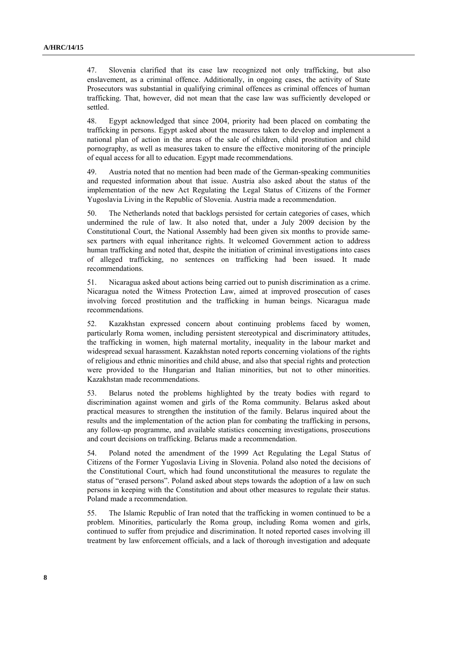47. Slovenia clarified that its case law recognized not only trafficking, but also enslavement, as a criminal offence. Additionally, in ongoing cases, the activity of State Prosecutors was substantial in qualifying criminal offences as criminal offences of human trafficking. That, however, did not mean that the case law was sufficiently developed or settled.

48. Egypt acknowledged that since 2004, priority had been placed on combating the trafficking in persons. Egypt asked about the measures taken to develop and implement a national plan of action in the areas of the sale of children, child prostitution and child pornography, as well as measures taken to ensure the effective monitoring of the principle of equal access for all to education. Egypt made recommendations.

49. Austria noted that no mention had been made of the German-speaking communities and requested information about that issue. Austria also asked about the status of the implementation of the new Act Regulating the Legal Status of Citizens of the Former Yugoslavia Living in the Republic of Slovenia. Austria made a recommendation.

50. The Netherlands noted that backlogs persisted for certain categories of cases, which undermined the rule of law. It also noted that, under a July 2009 decision by the Constitutional Court, the National Assembly had been given six months to provide samesex partners with equal inheritance rights. It welcomed Government action to address human trafficking and noted that, despite the initiation of criminal investigations into cases of alleged trafficking, no sentences on trafficking had been issued. It made recommendations.

51. Nicaragua asked about actions being carried out to punish discrimination as a crime. Nicaragua noted the Witness Protection Law, aimed at improved prosecution of cases involving forced prostitution and the trafficking in human beings. Nicaragua made recommendations.

52. Kazakhstan expressed concern about continuing problems faced by women, particularly Roma women, including persistent stereotypical and discriminatory attitudes, the trafficking in women, high maternal mortality, inequality in the labour market and widespread sexual harassment. Kazakhstan noted reports concerning violations of the rights of religious and ethnic minorities and child abuse, and also that special rights and protection were provided to the Hungarian and Italian minorities, but not to other minorities. Kazakhstan made recommendations.

53. Belarus noted the problems highlighted by the treaty bodies with regard to discrimination against women and girls of the Roma community. Belarus asked about practical measures to strengthen the institution of the family. Belarus inquired about the results and the implementation of the action plan for combating the trafficking in persons, any follow-up programme, and available statistics concerning investigations, prosecutions and court decisions on trafficking. Belarus made a recommendation.

54. Poland noted the amendment of the 1999 Act Regulating the Legal Status of Citizens of the Former Yugoslavia Living in Slovenia. Poland also noted the decisions of the Constitutional Court, which had found unconstitutional the measures to regulate the status of "erased persons". Poland asked about steps towards the adoption of a law on such persons in keeping with the Constitution and about other measures to regulate their status. Poland made a recommendation.

55. The Islamic Republic of Iran noted that the trafficking in women continued to be a problem. Minorities, particularly the Roma group, including Roma women and girls, continued to suffer from prejudice and discrimination. It noted reported cases involving ill treatment by law enforcement officials, and a lack of thorough investigation and adequate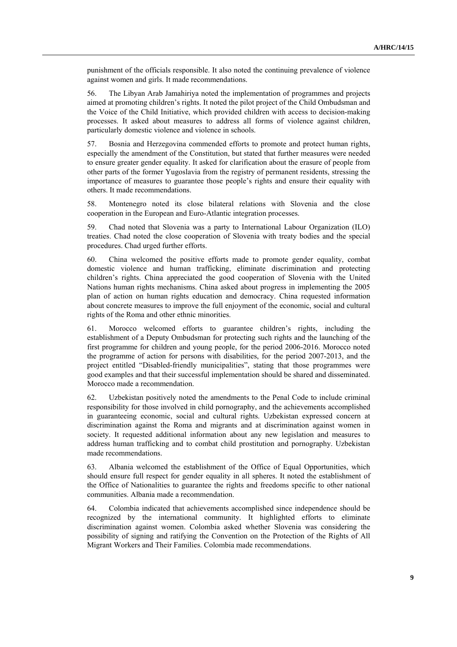punishment of the officials responsible. It also noted the continuing prevalence of violence against women and girls. It made recommendations.

56. The Libyan Arab Jamahiriya noted the implementation of programmes and projects aimed at promoting children's rights. It noted the pilot project of the Child Ombudsman and the Voice of the Child Initiative, which provided children with access to decision-making processes. It asked about measures to address all forms of violence against children, particularly domestic violence and violence in schools.

57. Bosnia and Herzegovina commended efforts to promote and protect human rights, especially the amendment of the Constitution, but stated that further measures were needed to ensure greater gender equality. It asked for clarification about the erasure of people from other parts of the former Yugoslavia from the registry of permanent residents, stressing the importance of measures to guarantee those people's rights and ensure their equality with others. It made recommendations.

58. Montenegro noted its close bilateral relations with Slovenia and the close cooperation in the European and Euro-Atlantic integration processes.

59. Chad noted that Slovenia was a party to International Labour Organization (ILO) treaties. Chad noted the close cooperation of Slovenia with treaty bodies and the special procedures. Chad urged further efforts.

60. China welcomed the positive efforts made to promote gender equality, combat domestic violence and human trafficking, eliminate discrimination and protecting children's rights. China appreciated the good cooperation of Slovenia with the United Nations human rights mechanisms. China asked about progress in implementing the 2005 plan of action on human rights education and democracy. China requested information about concrete measures to improve the full enjoyment of the economic, social and cultural rights of the Roma and other ethnic minorities.

61. Morocco welcomed efforts to guarantee children's rights, including the establishment of a Deputy Ombudsman for protecting such rights and the launching of the first programme for children and young people, for the period 2006-2016. Morocco noted the programme of action for persons with disabilities, for the period 2007-2013, and the project entitled "Disabled-friendly municipalities", stating that those programmes were good examples and that their successful implementation should be shared and disseminated. Morocco made a recommendation.

62. Uzbekistan positively noted the amendments to the Penal Code to include criminal responsibility for those involved in child pornography, and the achievements accomplished in guaranteeing economic, social and cultural rights. Uzbekistan expressed concern at discrimination against the Roma and migrants and at discrimination against women in society. It requested additional information about any new legislation and measures to address human trafficking and to combat child prostitution and pornography. Uzbekistan made recommendations.

63. Albania welcomed the establishment of the Office of Equal Opportunities, which should ensure full respect for gender equality in all spheres. It noted the establishment of the Office of Nationalities to guarantee the rights and freedoms specific to other national communities. Albania made a recommendation.

64. Colombia indicated that achievements accomplished since independence should be recognized by the international community. It highlighted efforts to eliminate discrimination against women. Colombia asked whether Slovenia was considering the possibility of signing and ratifying the Convention on the Protection of the Rights of All Migrant Workers and Their Families. Colombia made recommendations.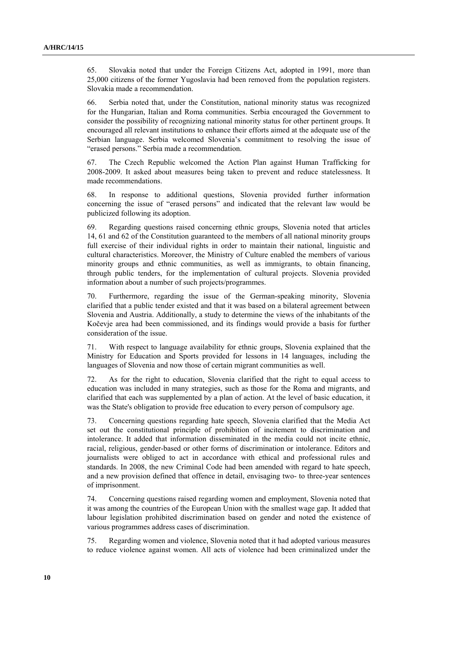65. Slovakia noted that under the Foreign Citizens Act, adopted in 1991, more than 25,000 citizens of the former Yugoslavia had been removed from the population registers. Slovakia made a recommendation.

66. Serbia noted that, under the Constitution, national minority status was recognized for the Hungarian, Italian and Roma communities. Serbia encouraged the Government to consider the possibility of recognizing national minority status for other pertinent groups. It encouraged all relevant institutions to enhance their efforts aimed at the adequate use of the Serbian language. Serbia welcomed Slovenia's commitment to resolving the issue of "erased persons." Serbia made a recommendation.

67. The Czech Republic welcomed the Action Plan against Human Trafficking for 2008-2009. It asked about measures being taken to prevent and reduce statelessness. It made recommendations.

68. In response to additional questions, Slovenia provided further information concerning the issue of "erased persons" and indicated that the relevant law would be publicized following its adoption.

69. Regarding questions raised concerning ethnic groups, Slovenia noted that articles 14, 61 and 62 of the Constitution guaranteed to the members of all national minority groups full exercise of their individual rights in order to maintain their national, linguistic and cultural characteristics. Moreover, the Ministry of Culture enabled the members of various minority groups and ethnic communities, as well as immigrants, to obtain financing, through public tenders, for the implementation of cultural projects. Slovenia provided information about a number of such projects/programmes.

70. Furthermore, regarding the issue of the German-speaking minority, Slovenia clarified that a public tender existed and that it was based on a bilateral agreement between Slovenia and Austria. Additionally, a study to determine the views of the inhabitants of the Kočevje area had been commissioned, and its findings would provide a basis for further consideration of the issue.

71. With respect to language availability for ethnic groups, Slovenia explained that the Ministry for Education and Sports provided for lessons in 14 languages, including the languages of Slovenia and now those of certain migrant communities as well.

72. As for the right to education, Slovenia clarified that the right to equal access to education was included in many strategies, such as those for the Roma and migrants, and clarified that each was supplemented by a plan of action. At the level of basic education, it was the State's obligation to provide free education to every person of compulsory age.

73. Concerning questions regarding hate speech, Slovenia clarified that the Media Act set out the constitutional principle of prohibition of incitement to discrimination and intolerance. It added that information disseminated in the media could not incite ethnic, racial, religious, gender-based or other forms of discrimination or intolerance. Editors and journalists were obliged to act in accordance with ethical and professional rules and standards. In 2008, the new Criminal Code had been amended with regard to hate speech, and a new provision defined that offence in detail, envisaging two- to three-year sentences of imprisonment.

74. Concerning questions raised regarding women and employment, Slovenia noted that it was among the countries of the European Union with the smallest wage gap. It added that labour legislation prohibited discrimination based on gender and noted the existence of various programmes address cases of discrimination.

75. Regarding women and violence, Slovenia noted that it had adopted various measures to reduce violence against women. All acts of violence had been criminalized under the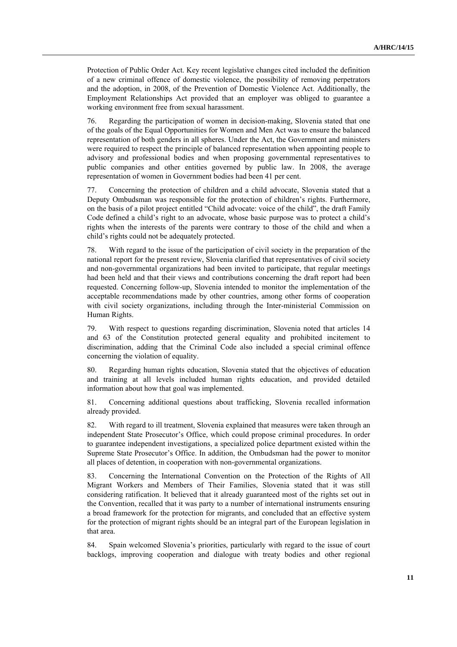Protection of Public Order Act. Key recent legislative changes cited included the definition of a new criminal offence of domestic violence, the possibility of removing perpetrators and the adoption, in 2008, of the Prevention of Domestic Violence Act. Additionally, the Employment Relationships Act provided that an employer was obliged to guarantee a working environment free from sexual harassment.

76. Regarding the participation of women in decision-making, Slovenia stated that one of the goals of the Equal Opportunities for Women and Men Act was to ensure the balanced representation of both genders in all spheres. Under the Act, the Government and ministers were required to respect the principle of balanced representation when appointing people to advisory and professional bodies and when proposing governmental representatives to public companies and other entities governed by public law. In 2008, the average representation of women in Government bodies had been 41 per cent.

77. Concerning the protection of children and a child advocate, Slovenia stated that a Deputy Ombudsman was responsible for the protection of children's rights. Furthermore, on the basis of a pilot project entitled "Child advocate: voice of the child", the draft Family Code defined a child's right to an advocate, whose basic purpose was to protect a child's rights when the interests of the parents were contrary to those of the child and when a child's rights could not be adequately protected.

78. With regard to the issue of the participation of civil society in the preparation of the national report for the present review, Slovenia clarified that representatives of civil society and non-governmental organizations had been invited to participate, that regular meetings had been held and that their views and contributions concerning the draft report had been requested. Concerning follow-up, Slovenia intended to monitor the implementation of the acceptable recommendations made by other countries, among other forms of cooperation with civil society organizations, including through the Inter-ministerial Commission on Human Rights.

79. With respect to questions regarding discrimination, Slovenia noted that articles 14 and 63 of the Constitution protected general equality and prohibited incitement to discrimination, adding that the Criminal Code also included a special criminal offence concerning the violation of equality.

80. Regarding human rights education, Slovenia stated that the objectives of education and training at all levels included human rights education, and provided detailed information about how that goal was implemented.

81. Concerning additional questions about trafficking, Slovenia recalled information already provided.

82. With regard to ill treatment, Slovenia explained that measures were taken through an independent State Prosecutor's Office, which could propose criminal procedures. In order to guarantee independent investigations, a specialized police department existed within the Supreme State Prosecutor's Office. In addition, the Ombudsman had the power to monitor all places of detention, in cooperation with non-governmental organizations.

83. Concerning the International Convention on the Protection of the Rights of All Migrant Workers and Members of Their Families, Slovenia stated that it was still considering ratification. It believed that it already guaranteed most of the rights set out in the Convention, recalled that it was party to a number of international instruments ensuring a broad framework for the protection for migrants, and concluded that an effective system for the protection of migrant rights should be an integral part of the European legislation in that area.

84. Spain welcomed Slovenia's priorities, particularly with regard to the issue of court backlogs, improving cooperation and dialogue with treaty bodies and other regional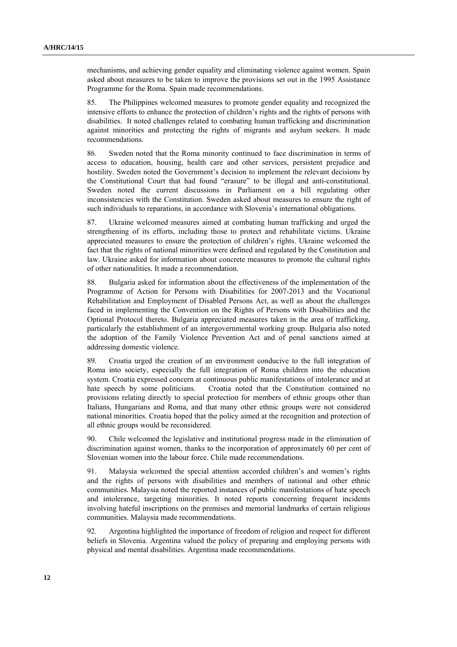mechanisms, and achieving gender equality and eliminating violence against women. Spain asked about measures to be taken to improve the provisions set out in the 1995 Assistance Programme for the Roma. Spain made recommendations.

85. The Philippines welcomed measures to promote gender equality and recognized the intensive efforts to enhance the protection of children's rights and the rights of persons with disabilities. It noted challenges related to combating human trafficking and discrimination against minorities and protecting the rights of migrants and asylum seekers. It made recommendations.

86. Sweden noted that the Roma minority continued to face discrimination in terms of access to education, housing, health care and other services, persistent prejudice and hostility. Sweden noted the Government's decision to implement the relevant decisions by the Constitutional Court that had found "erasure" to be illegal and anti-constitutional. Sweden noted the current discussions in Parliament on a bill regulating other inconsistencies with the Constitution. Sweden asked about measures to ensure the right of such individuals to reparations, in accordance with Slovenia's international obligations.

87. Ukraine welcomed measures aimed at combating human trafficking and urged the strengthening of its efforts, including those to protect and rehabilitate victims. Ukraine appreciated measures to ensure the protection of children's rights. Ukraine welcomed the fact that the rights of national minorities were defined and regulated by the Constitution and law. Ukraine asked for information about concrete measures to promote the cultural rights of other nationalities. It made a recommendation.

88. Bulgaria asked for information about the effectiveness of the implementation of the Programme of Action for Persons with Disabilities for 2007-2013 and the Vocational Rehabilitation and Employment of Disabled Persons Act, as well as about the challenges faced in implementing the Convention on the Rights of Persons with Disabilities and the Optional Protocol thereto. Bulgaria appreciated measures taken in the area of trafficking, particularly the establishment of an intergovernmental working group. Bulgaria also noted the adoption of the Family Violence Prevention Act and of penal sanctions aimed at addressing domestic violence.

89. Croatia urged the creation of an environment conducive to the full integration of Roma into society, especially the full integration of Roma children into the education system. Croatia expressed concern at continuous public manifestations of intolerance and at hate speech by some politicians. Croatia noted that the Constitution contained no provisions relating directly to special protection for members of ethnic groups other than Italians, Hungarians and Roma, and that many other ethnic groups were not considered national minorities. Croatia hoped that the policy aimed at the recognition and protection of all ethnic groups would be reconsidered.

90. Chile welcomed the legislative and institutional progress made in the elimination of discrimination against women, thanks to the incorporation of approximately 60 per cent of Slovenian women into the labour force. Chile made recommendations.

91. Malaysia welcomed the special attention accorded children's and women's rights and the rights of persons with disabilities and members of national and other ethnic communities. Malaysia noted the reported instances of public manifestations of hate speech and intolerance, targeting minorities. It noted reports concerning frequent incidents involving hateful inscriptions on the premises and memorial landmarks of certain religious communities. Malaysia made recommendations.

92. Argentina highlighted the importance of freedom of religion and respect for different beliefs in Slovenia. Argentina valued the policy of preparing and employing persons with physical and mental disabilities. Argentina made recommendations.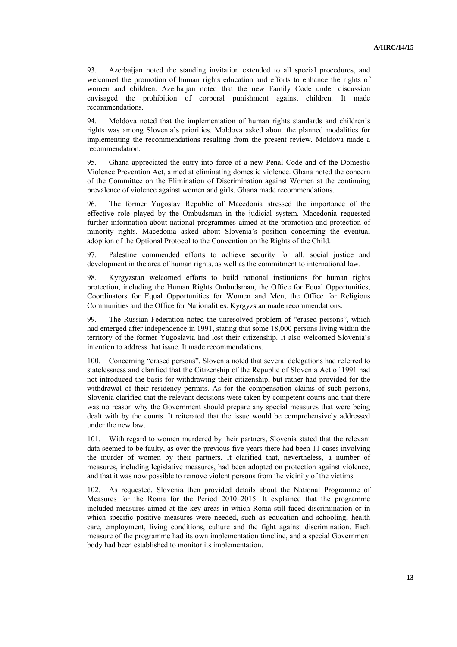93. Azerbaijan noted the standing invitation extended to all special procedures, and welcomed the promotion of human rights education and efforts to enhance the rights of women and children. Azerbaijan noted that the new Family Code under discussion envisaged the prohibition of corporal punishment against children. It made recommendations.

94. Moldova noted that the implementation of human rights standards and children's rights was among Slovenia's priorities. Moldova asked about the planned modalities for implementing the recommendations resulting from the present review. Moldova made a recommendation.

95. Ghana appreciated the entry into force of a new Penal Code and of the Domestic Violence Prevention Act, aimed at eliminating domestic violence. Ghana noted the concern of the Committee on the Elimination of Discrimination against Women at the continuing prevalence of violence against women and girls. Ghana made recommendations.

96. The former Yugoslav Republic of Macedonia stressed the importance of the effective role played by the Ombudsman in the judicial system. Macedonia requested further information about national programmes aimed at the promotion and protection of minority rights. Macedonia asked about Slovenia's position concerning the eventual adoption of the Optional Protocol to the Convention on the Rights of the Child.

97. Palestine commended efforts to achieve security for all, social justice and development in the area of human rights, as well as the commitment to international law.

98. Kyrgyzstan welcomed efforts to build national institutions for human rights protection, including the Human Rights Ombudsman, the Office for Equal Opportunities, Coordinators for Equal Opportunities for Women and Men, the Office for Religious Communities and the Office for Nationalities. Kyrgyzstan made recommendations.

99. The Russian Federation noted the unresolved problem of "erased persons", which had emerged after independence in 1991, stating that some 18,000 persons living within the territory of the former Yugoslavia had lost their citizenship. It also welcomed Slovenia's intention to address that issue. It made recommendations.

100. Concerning "erased persons", Slovenia noted that several delegations had referred to statelessness and clarified that the Citizenship of the Republic of Slovenia Act of 1991 had not introduced the basis for withdrawing their citizenship, but rather had provided for the withdrawal of their residency permits. As for the compensation claims of such persons, Slovenia clarified that the relevant decisions were taken by competent courts and that there was no reason why the Government should prepare any special measures that were being dealt with by the courts. It reiterated that the issue would be comprehensively addressed under the new law.

101. With regard to women murdered by their partners, Slovenia stated that the relevant data seemed to be faulty, as over the previous five years there had been 11 cases involving the murder of women by their partners. It clarified that, nevertheless, a number of measures, including legislative measures, had been adopted on protection against violence, and that it was now possible to remove violent persons from the vicinity of the victims.

102. As requested, Slovenia then provided details about the National Programme of Measures for the Roma for the Period 2010–2015. It explained that the programme included measures aimed at the key areas in which Roma still faced discrimination or in which specific positive measures were needed, such as education and schooling, health care, employment, living conditions, culture and the fight against discrimination. Each measure of the programme had its own implementation timeline, and a special Government body had been established to monitor its implementation.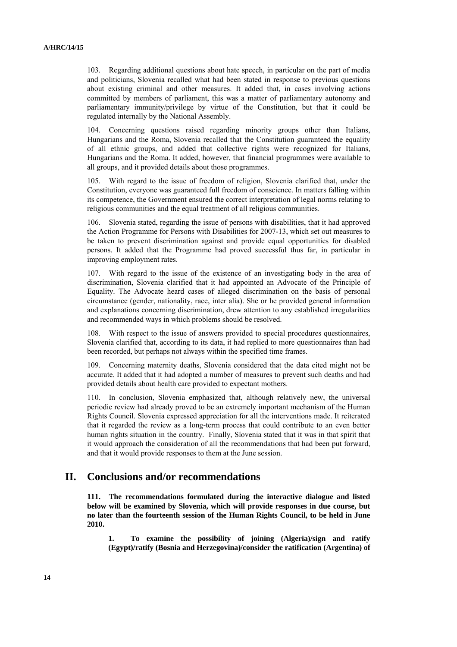103. Regarding additional questions about hate speech, in particular on the part of media and politicians, Slovenia recalled what had been stated in response to previous questions about existing criminal and other measures. It added that, in cases involving actions committed by members of parliament, this was a matter of parliamentary autonomy and parliamentary immunity/privilege by virtue of the Constitution, but that it could be regulated internally by the National Assembly.

104. Concerning questions raised regarding minority groups other than Italians, Hungarians and the Roma, Slovenia recalled that the Constitution guaranteed the equality of all ethnic groups, and added that collective rights were recognized for Italians, Hungarians and the Roma. It added, however, that financial programmes were available to all groups, and it provided details about those programmes.

105. With regard to the issue of freedom of religion, Slovenia clarified that, under the Constitution, everyone was guaranteed full freedom of conscience. In matters falling within its competence, the Government ensured the correct interpretation of legal norms relating to religious communities and the equal treatment of all religious communities.

106. Slovenia stated, regarding the issue of persons with disabilities, that it had approved the Action Programme for Persons with Disabilities for 2007-13, which set out measures to be taken to prevent discrimination against and provide equal opportunities for disabled persons. It added that the Programme had proved successful thus far, in particular in improving employment rates.

107. With regard to the issue of the existence of an investigating body in the area of discrimination, Slovenia clarified that it had appointed an Advocate of the Principle of Equality. The Advocate heard cases of alleged discrimination on the basis of personal circumstance (gender, nationality, race, inter alia). She or he provided general information and explanations concerning discrimination, drew attention to any established irregularities and recommended ways in which problems should be resolved.

108. With respect to the issue of answers provided to special procedures questionnaires, Slovenia clarified that, according to its data, it had replied to more questionnaires than had been recorded, but perhaps not always within the specified time frames.

109. Concerning maternity deaths, Slovenia considered that the data cited might not be accurate. It added that it had adopted a number of measures to prevent such deaths and had provided details about health care provided to expectant mothers.

110. In conclusion, Slovenia emphasized that, although relatively new, the universal periodic review had already proved to be an extremely important mechanism of the Human Rights Council. Slovenia expressed appreciation for all the interventions made. It reiterated that it regarded the review as a long-term process that could contribute to an even better human rights situation in the country. Finally, Slovenia stated that it was in that spirit that it would approach the consideration of all the recommendations that had been put forward, and that it would provide responses to them at the June session.

## **II. Conclusions and/or recommendations**

**111. The recommendations formulated during the interactive dialogue and listed below will be examined by Slovenia, which will provide responses in due course, but no later than the fourteenth session of the Human Rights Council, to be held in June 2010.** 

**1. To examine the possibility of joining (Algeria)/sign and ratify (Egypt)/ratify (Bosnia and Herzegovina)/consider the ratification (Argentina) of**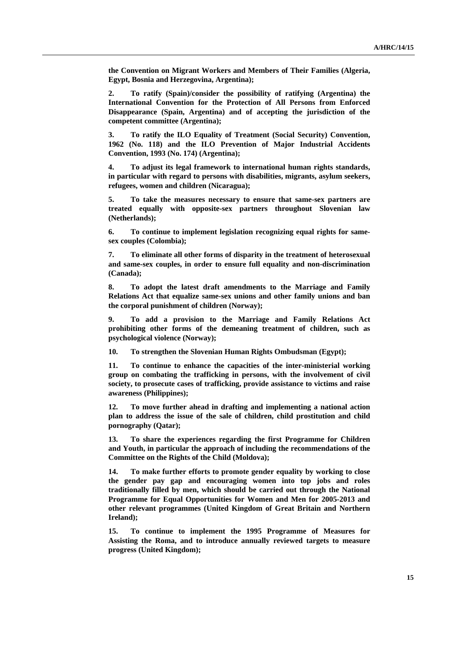**the Convention on Migrant Workers and Members of Their Families (Algeria, Egypt, Bosnia and Herzegovina, Argentina);** 

**2. To ratify (Spain)/consider the possibility of ratifying (Argentina) the International Convention for the Protection of All Persons from Enforced Disappearance (Spain, Argentina) and of accepting the jurisdiction of the competent committee (Argentina);** 

**3. To ratify the ILO Equality of Treatment (Social Security) Convention, 1962 (No. 118) and the ILO Prevention of Major Industrial Accidents Convention, 1993 (No. 174) (Argentina);** 

**4. To adjust its legal framework to international human rights standards, in particular with regard to persons with disabilities, migrants, asylum seekers, refugees, women and children (Nicaragua);** 

**5. To take the measures necessary to ensure that same-sex partners are treated equally with opposite-sex partners throughout Slovenian law (Netherlands);** 

**6. To continue to implement legislation recognizing equal rights for samesex couples (Colombia);** 

**7. To eliminate all other forms of disparity in the treatment of heterosexual and same-sex couples, in order to ensure full equality and non-discrimination (Canada);** 

**8. To adopt the latest draft amendments to the Marriage and Family Relations Act that equalize same-sex unions and other family unions and ban the corporal punishment of children (Norway);** 

**9. To add a provision to the Marriage and Family Relations Act prohibiting other forms of the demeaning treatment of children, such as psychological violence (Norway);** 

**10. To strengthen the Slovenian Human Rights Ombudsman (Egypt);** 

**11. To continue to enhance the capacities of the inter-ministerial working group on combating the trafficking in persons, with the involvement of civil society, to prosecute cases of trafficking, provide assistance to victims and raise awareness (Philippines);** 

**12. To move further ahead in drafting and implementing a national action plan to address the issue of the sale of children, child prostitution and child pornography (Qatar);** 

**13. To share the experiences regarding the first Programme for Children and Youth, in particular the approach of including the recommendations of the Committee on the Rights of the Child (Moldova);** 

**14. To make further efforts to promote gender equality by working to close the gender pay gap and encouraging women into top jobs and roles traditionally filled by men, which should be carried out through the National Programme for Equal Opportunities for Women and Men for 2005-2013 and other relevant programmes (United Kingdom of Great Britain and Northern Ireland);** 

**15. To continue to implement the 1995 Programme of Measures for Assisting the Roma, and to introduce annually reviewed targets to measure progress (United Kingdom);**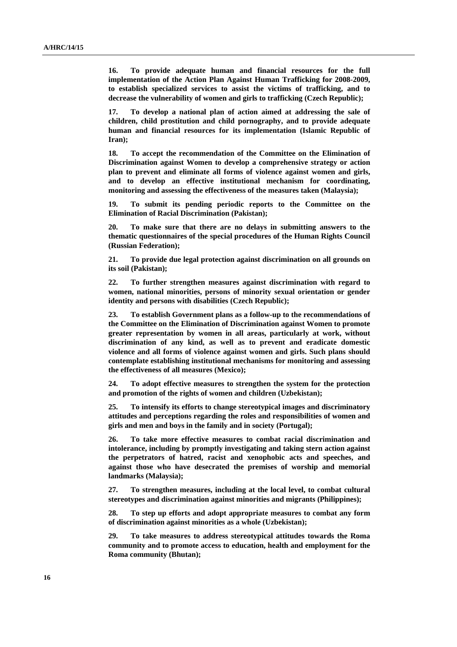**16. To provide adequate human and financial resources for the full implementation of the Action Plan Against Human Trafficking for 2008-2009, to establish specialized services to assist the victims of trafficking, and to decrease the vulnerability of women and girls to trafficking (Czech Republic);** 

**17. To develop a national plan of action aimed at addressing the sale of children, child prostitution and child pornography, and to provide adequate human and financial resources for its implementation (Islamic Republic of Iran);** 

**18. To accept the recommendation of the Committee on the Elimination of Discrimination against Women to develop a comprehensive strategy or action plan to prevent and eliminate all forms of violence against women and girls, and to develop an effective institutional mechanism for coordinating, monitoring and assessing the effectiveness of the measures taken (Malaysia);** 

**19. To submit its pending periodic reports to the Committee on the Elimination of Racial Discrimination (Pakistan);** 

**20. To make sure that there are no delays in submitting answers to the thematic questionnaires of the special procedures of the Human Rights Council (Russian Federation);** 

**21. To provide due legal protection against discrimination on all grounds on its soil (Pakistan);** 

**22. To further strengthen measures against discrimination with regard to women, national minorities, persons of minority sexual orientation or gender identity and persons with disabilities (Czech Republic);** 

**23. To establish Government plans as a follow-up to the recommendations of the Committee on the Elimination of Discrimination against Women to promote greater representation by women in all areas, particularly at work, without discrimination of any kind, as well as to prevent and eradicate domestic violence and all forms of violence against women and girls. Such plans should contemplate establishing institutional mechanisms for monitoring and assessing the effectiveness of all measures (Mexico);** 

**24. To adopt effective measures to strengthen the system for the protection and promotion of the rights of women and children (Uzbekistan);** 

**25. To intensify its efforts to change stereotypical images and discriminatory attitudes and perceptions regarding the roles and responsibilities of women and girls and men and boys in the family and in society (Portugal);** 

**26. To take more effective measures to combat racial discrimination and intolerance, including by promptly investigating and taking stern action against the perpetrators of hatred, racist and xenophobic acts and speeches, and against those who have desecrated the premises of worship and memorial landmarks (Malaysia);** 

**27. To strengthen measures, including at the local level, to combat cultural stereotypes and discrimination against minorities and migrants (Philippines);** 

**28. To step up efforts and adopt appropriate measures to combat any form of discrimination against minorities as a whole (Uzbekistan);** 

**29. To take measures to address stereotypical attitudes towards the Roma community and to promote access to education, health and employment for the Roma community (Bhutan);**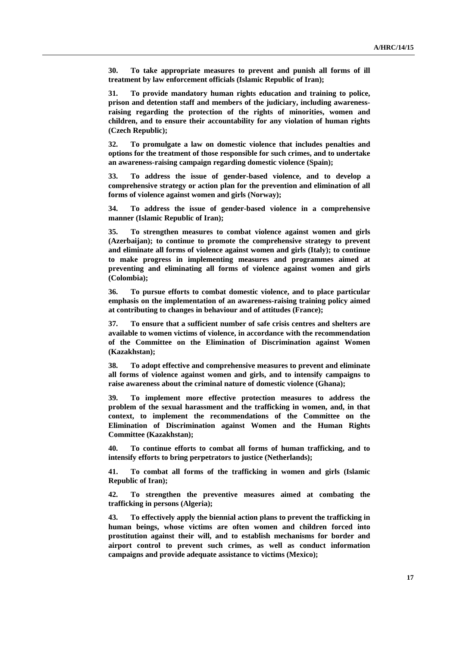**30. To take appropriate measures to prevent and punish all forms of ill treatment by law enforcement officials (Islamic Republic of Iran);** 

**31. To provide mandatory human rights education and training to police, prison and detention staff and members of the judiciary, including awarenessraising regarding the protection of the rights of minorities, women and children, and to ensure their accountability for any violation of human rights (Czech Republic);** 

**32. To promulgate a law on domestic violence that includes penalties and options for the treatment of those responsible for such crimes, and to undertake an awareness-raising campaign regarding domestic violence (Spain);** 

**33. To address the issue of gender-based violence, and to develop a comprehensive strategy or action plan for the prevention and elimination of all forms of violence against women and girls (Norway);** 

**34. To address the issue of gender-based violence in a comprehensive manner (Islamic Republic of Iran);** 

**35. To strengthen measures to combat violence against women and girls (Azerbaijan); to continue to promote the comprehensive strategy to prevent and eliminate all forms of violence against women and girls (Italy); to continue to make progress in implementing measures and programmes aimed at preventing and eliminating all forms of violence against women and girls (Colombia);** 

**36. To pursue efforts to combat domestic violence, and to place particular emphasis on the implementation of an awareness-raising training policy aimed at contributing to changes in behaviour and of attitudes (France);** 

**37. To ensure that a sufficient number of safe crisis centres and shelters are available to women victims of violence, in accordance with the recommendation of the Committee on the Elimination of Discrimination against Women (Kazakhstan);** 

**38. To adopt effective and comprehensive measures to prevent and eliminate all forms of violence against women and girls, and to intensify campaigns to raise awareness about the criminal nature of domestic violence (Ghana);** 

**39. To implement more effective protection measures to address the problem of the sexual harassment and the trafficking in women, and, in that context, to implement the recommendations of the Committee on the Elimination of Discrimination against Women and the Human Rights Committee (Kazakhstan);** 

**40. To continue efforts to combat all forms of human trafficking, and to intensify efforts to bring perpetrators to justice (Netherlands);** 

**41. To combat all forms of the trafficking in women and girls (Islamic Republic of Iran);** 

**42. To strengthen the preventive measures aimed at combating the trafficking in persons (Algeria);** 

**43. To effectively apply the biennial action plans to prevent the trafficking in human beings, whose victims are often women and children forced into prostitution against their will, and to establish mechanisms for border and airport control to prevent such crimes, as well as conduct information campaigns and provide adequate assistance to victims (Mexico);**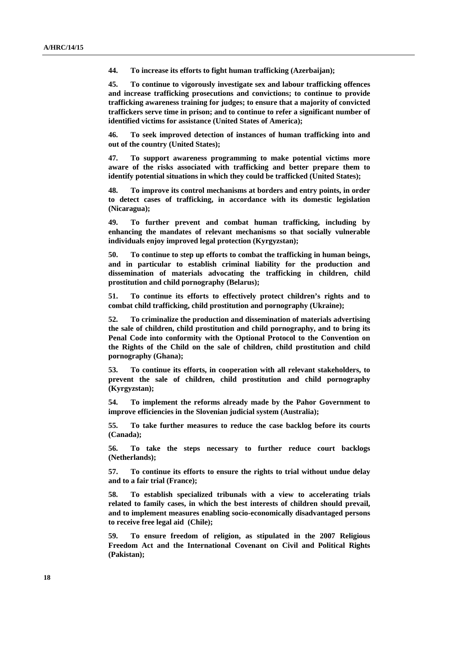**44. To increase its efforts to fight human trafficking (Azerbaijan);** 

**45. To continue to vigorously investigate sex and labour trafficking offences and increase trafficking prosecutions and convictions; to continue to provide trafficking awareness training for judges; to ensure that a majority of convicted traffickers serve time in prison; and to continue to refer a significant number of identified victims for assistance (United States of America);** 

**46. To seek improved detection of instances of human trafficking into and out of the country (United States);** 

**47. To support awareness programming to make potential victims more aware of the risks associated with trafficking and better prepare them to identify potential situations in which they could be trafficked (United States);** 

**48. To improve its control mechanisms at borders and entry points, in order to detect cases of trafficking, in accordance with its domestic legislation (Nicaragua);** 

**49. To further prevent and combat human trafficking, including by enhancing the mandates of relevant mechanisms so that socially vulnerable individuals enjoy improved legal protection (Kyrgyzstan);** 

**50. To continue to step up efforts to combat the trafficking in human beings, and in particular to establish criminal liability for the production and dissemination of materials advocating the trafficking in children, child prostitution and child pornography (Belarus);** 

**51. To continue its efforts to effectively protect children's rights and to combat child trafficking, child prostitution and pornography (Ukraine);** 

**52. To criminalize the production and dissemination of materials advertising the sale of children, child prostitution and child pornography, and to bring its Penal Code into conformity with the Optional Protocol to the Convention on the Rights of the Child on the sale of children, child prostitution and child pornography (Ghana);** 

**53. To continue its efforts, in cooperation with all relevant stakeholders, to prevent the sale of children, child prostitution and child pornography (Kyrgyzstan);** 

**54. To implement the reforms already made by the Pahor Government to improve efficiencies in the Slovenian judicial system (Australia);** 

**55. To take further measures to reduce the case backlog before its courts (Canada);** 

**56. To take the steps necessary to further reduce court backlogs (Netherlands);** 

**57. To continue its efforts to ensure the rights to trial without undue delay and to a fair trial (France);** 

**58. To establish specialized tribunals with a view to accelerating trials related to family cases, in which the best interests of children should prevail, and to implement measures enabling socio-economically disadvantaged persons to receive free legal aid (Chile);** 

**59. To ensure freedom of religion, as stipulated in the 2007 Religious Freedom Act and the International Covenant on Civil and Political Rights (Pakistan);**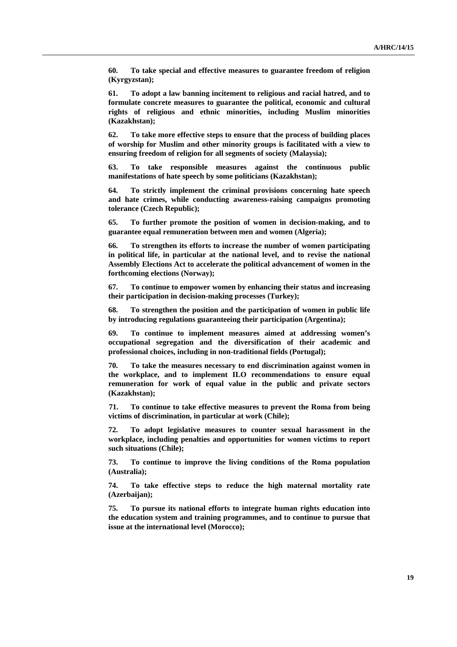**60. To take special and effective measures to guarantee freedom of religion (Kyrgyzstan);** 

**61. To adopt a law banning incitement to religious and racial hatred, and to formulate concrete measures to guarantee the political, economic and cultural rights of religious and ethnic minorities, including Muslim minorities (Kazakhstan);** 

**62. To take more effective steps to ensure that the process of building places of worship for Muslim and other minority groups is facilitated with a view to ensuring freedom of religion for all segments of society (Malaysia);** 

**63. To take responsible measures against the continuous public manifestations of hate speech by some politicians (Kazakhstan);** 

**64. To strictly implement the criminal provisions concerning hate speech and hate crimes, while conducting awareness-raising campaigns promoting tolerance (Czech Republic);** 

**65. To further promote the position of women in decision-making, and to guarantee equal remuneration between men and women (Algeria);** 

**66. To strengthen its efforts to increase the number of women participating in political life, in particular at the national level, and to revise the national Assembly Elections Act to accelerate the political advancement of women in the forthcoming elections (Norway);** 

**67. To continue to empower women by enhancing their status and increasing their participation in decision-making processes (Turkey);** 

**68. To strengthen the position and the participation of women in public life by introducing regulations guaranteeing their participation (Argentina);** 

**69. To continue to implement measures aimed at addressing women's occupational segregation and the diversification of their academic and professional choices, including in non-traditional fields (Portugal);** 

**70. To take the measures necessary to end discrimination against women in the workplace, and to implement ILO recommendations to ensure equal remuneration for work of equal value in the public and private sectors (Kazakhstan);** 

**71. To continue to take effective measures to prevent the Roma from being victims of discrimination, in particular at work (Chile);** 

**72. To adopt legislative measures to counter sexual harassment in the workplace, including penalties and opportunities for women victims to report such situations (Chile);** 

**73. To continue to improve the living conditions of the Roma population (Australia);** 

**74. To take effective steps to reduce the high maternal mortality rate (Azerbaijan);** 

**75. To pursue its national efforts to integrate human rights education into the education system and training programmes, and to continue to pursue that issue at the international level (Morocco);**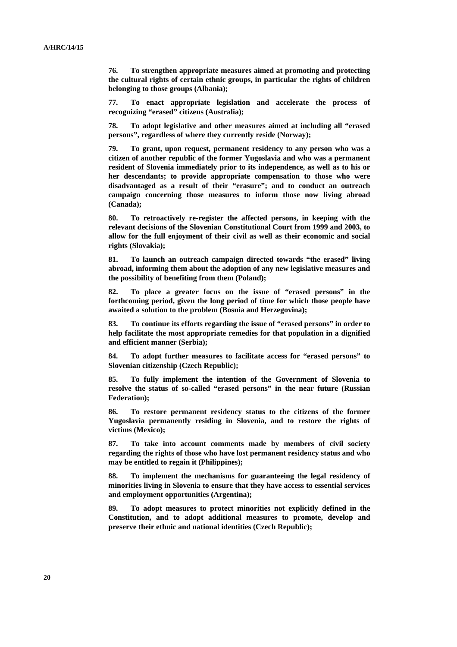**76. To strengthen appropriate measures aimed at promoting and protecting the cultural rights of certain ethnic groups, in particular the rights of children belonging to those groups (Albania);** 

**77. To enact appropriate legislation and accelerate the process of recognizing "erased" citizens (Australia);** 

**78. To adopt legislative and other measures aimed at including all "erased persons", regardless of where they currently reside (Norway);** 

**79. To grant, upon request, permanent residency to any person who was a citizen of another republic of the former Yugoslavia and who was a permanent resident of Slovenia immediately prior to its independence, as well as to his or her descendants; to provide appropriate compensation to those who were disadvantaged as a result of their "erasure"; and to conduct an outreach campaign concerning those measures to inform those now living abroad (Canada);** 

**80. To retroactively re-register the affected persons, in keeping with the relevant decisions of the Slovenian Constitutional Court from 1999 and 2003, to allow for the full enjoyment of their civil as well as their economic and social rights (Slovakia);** 

**81. To launch an outreach campaign directed towards "the erased" living abroad, informing them about the adoption of any new legislative measures and the possibility of benefiting from them (Poland);** 

**82. To place a greater focus on the issue of "erased persons" in the forthcoming period, given the long period of time for which those people have awaited a solution to the problem (Bosnia and Herzegovina);** 

**83. To continue its efforts regarding the issue of "erased persons" in order to help facilitate the most appropriate remedies for that population in a dignified and efficient manner (Serbia);** 

**84. To adopt further measures to facilitate access for "erased persons" to Slovenian citizenship (Czech Republic);** 

**85. To fully implement the intention of the Government of Slovenia to resolve the status of so-called "erased persons" in the near future (Russian Federation);** 

**86. To restore permanent residency status to the citizens of the former Yugoslavia permanently residing in Slovenia, and to restore the rights of victims (Mexico);** 

**87. To take into account comments made by members of civil society regarding the rights of those who have lost permanent residency status and who may be entitled to regain it (Philippines);** 

**88. To implement the mechanisms for guaranteeing the legal residency of minorities living in Slovenia to ensure that they have access to essential services and employment opportunities (Argentina);** 

**89. To adopt measures to protect minorities not explicitly defined in the Constitution, and to adopt additional measures to promote, develop and preserve their ethnic and national identities (Czech Republic);**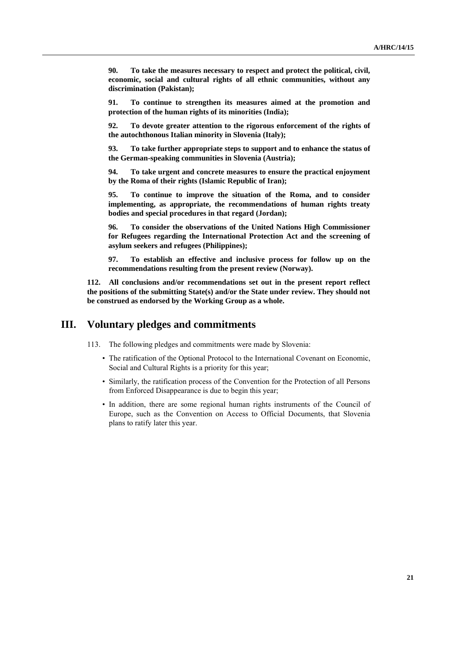**90. To take the measures necessary to respect and protect the political, civil, economic, social and cultural rights of all ethnic communities, without any discrimination (Pakistan);** 

**91. To continue to strengthen its measures aimed at the promotion and protection of the human rights of its minorities (India);** 

**92. To devote greater attention to the rigorous enforcement of the rights of the autochthonous Italian minority in Slovenia (Italy);** 

**93. To take further appropriate steps to support and to enhance the status of the German-speaking communities in Slovenia (Austria);** 

**94. To take urgent and concrete measures to ensure the practical enjoyment by the Roma of their rights (Islamic Republic of Iran);** 

**95. To continue to improve the situation of the Roma, and to consider implementing, as appropriate, the recommendations of human rights treaty bodies and special procedures in that regard (Jordan);** 

**96. To consider the observations of the United Nations High Commissioner for Refugees regarding the International Protection Act and the screening of asylum seekers and refugees (Philippines);** 

**97. To establish an effective and inclusive process for follow up on the recommendations resulting from the present review (Norway).** 

**112. All conclusions and/or recommendations set out in the present report reflect the positions of the submitting State(s) and/or the State under review. They should not be construed as endorsed by the Working Group as a whole.** 

### **III. Voluntary pledges and commitments**

113. The following pledges and commitments were made by Slovenia:

- The ratification of the Optional Protocol to the International Covenant on Economic, Social and Cultural Rights is a priority for this year;
- Similarly, the ratification process of the Convention for the Protection of all Persons from Enforced Disappearance is due to begin this year;
- In addition, there are some regional human rights instruments of the Council of Europe, such as the Convention on Access to Official Documents, that Slovenia plans to ratify later this year.